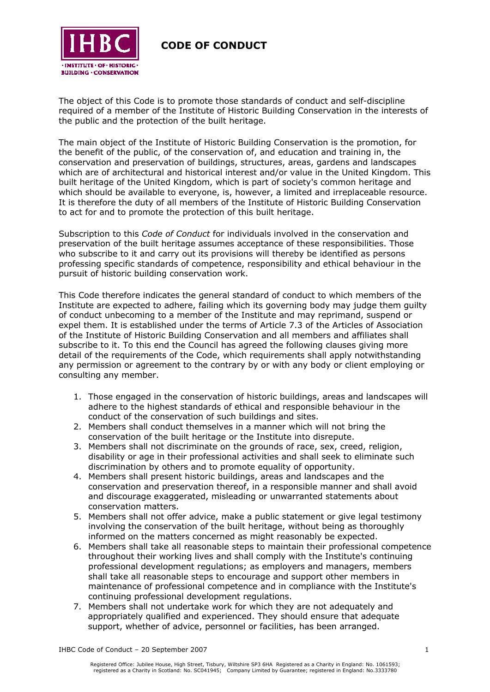

## **CODE OF CONDUCT**

The object of this Code is to promote those standards of conduct and self-discipline required of a member of the Institute of Historic Building Conservation in the interests of the public and the protection of the built heritage.

The main object of the Institute of Historic Building Conservation is the promotion, for the benefit of the public, of the conservation of, and education and training in, the conservation and preservation of buildings, structures, areas, gardens and landscapes which are of architectural and historical interest and/or value in the United Kingdom. This built heritage of the United Kingdom, which is part of society's common heritage and which should be available to everyone, is, however, a limited and irreplaceable resource. It is therefore the duty of all members of the Institute of Historic Building Conservation to act for and to promote the protection of this built heritage.

Subscription to this *Code of Conduct* for individuals involved in the conservation and preservation of the built heritage assumes acceptance of these responsibilities. Those who subscribe to it and carry out its provisions will thereby be identified as persons professing specific standards of competence, responsibility and ethical behaviour in the pursuit of historic building conservation work.

This Code therefore indicates the general standard of conduct to which members of the Institute are expected to adhere, failing which its governing body may judge them guilty of conduct unbecoming to a member of the Institute and may reprimand, suspend or expel them. It is established under the terms of Article 7.3 of the Articles of Association of the Institute of Historic Building Conservation and all members and affiliates shall subscribe to it. To this end the Council has agreed the following clauses giving more detail of the requirements of the Code, which requirements shall apply notwithstanding any permission or agreement to the contrary by or with any body or client employing or consulting any member.

- 1. Those engaged in the conservation of historic buildings, areas and landscapes will adhere to the highest standards of ethical and responsible behaviour in the conduct of the conservation of such buildings and sites.
- 2. Members shall conduct themselves in a manner which will not bring the conservation of the built heritage or the Institute into disrepute.
- 3. Members shall not discriminate on the grounds of race, sex, creed, religion, disability or age in their professional activities and shall seek to eliminate such discrimination by others and to promote equality of opportunity.
- 4. Members shall present historic buildings, areas and landscapes and the conservation and preservation thereof, in a responsible manner and shall avoid and discourage exaggerated, misleading or unwarranted statements about conservation matters.
- 5. Members shall not offer advice, make a public statement or give legal testimony involving the conservation of the built heritage, without being as thoroughly informed on the matters concerned as might reasonably be expected.
- 6. Members shall take all reasonable steps to maintain their professional competence throughout their working lives and shall comply with the Institute's continuing professional development regulations; as employers and managers, members shall take all reasonable steps to encourage and support other members in maintenance of professional competence and in compliance with the Institute's continuing professional development regulations.
- 7. Members shall not undertake work for which they are not adequately and appropriately qualified and experienced. They should ensure that adequate support, whether of advice, personnel or facilities, has been arranged.

IHBC Code of Conduct – 20 September 2007 1 1 20 November 2007